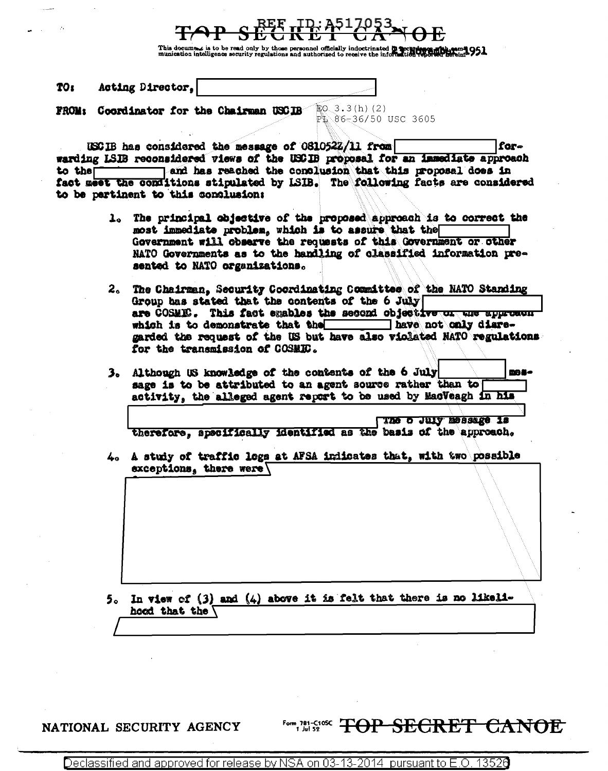This docume is to be read only by those personnel officially indoctrinated  $\ddot{\mathbf{p}}$  accureing  $\ddot{\mathbf{p}}$  and  $\ddot{\mathbf{p}}$  and  $\ddot{\mathbf{p}}$  and  $\ddot{\mathbf{p}}$  and  $\ddot{\mathbf{p}}$  and  $\ddot{\mathbf{p}}$  and  $\ddot{\mathbf{p}}$  and  $\ddot{\mathbf{p}}$ 

Acting Director. TO<sub>1</sub>

FROM: Coordinator for the Chairman USCIB

 $E0.3.3(h)$  (2) PL 86-36/50 USC 3605

USCIB has considered the message of 0810522/11 from forwarding LSIB reconsidered views of the USCIB proposal for an immediate approach to the and has reached the conclusion that this proposal does in fact meet the conditions stipulated by LSIB. The following facts are considered to be pertinent to this conclusion:

- 1. The principal objective of the proposed approach is to correct the most immediate problem, which is to assure that the Government will observe the requests of this Government or other NATO Governments as to the handling of classified information presented to NATO organizations.
- 2. The Chairman. Security Coordinating Committee of the NATO Standing Group has stated that the contents of the 6 July are COSMIC. This fact emables the second objective or the approach which is to demonstrate that the have not only diaregarded the request of the US but have also violated NATO regulations for the transmission of COSMIC.
- 3. Although US knowledge of the contents of the 6 July mna. sage is to be attributed to an agent source rather than to activity, the alleged agent report to be used by MacVeagh in his

The o July message is therefore, specifically identified as the basis of the approach.

4. A study of traffic logs at AFSA indicates that, with two possible exceptions, there were  $\sqrt{ }$ 

5. In view of (3) and (4) above it is felt that there is no likelihood that the  $\sqrt{}$ 

#### NATIONAL SECURITY AGENCY

# Form 781-C108C TOP SECRET CANOE